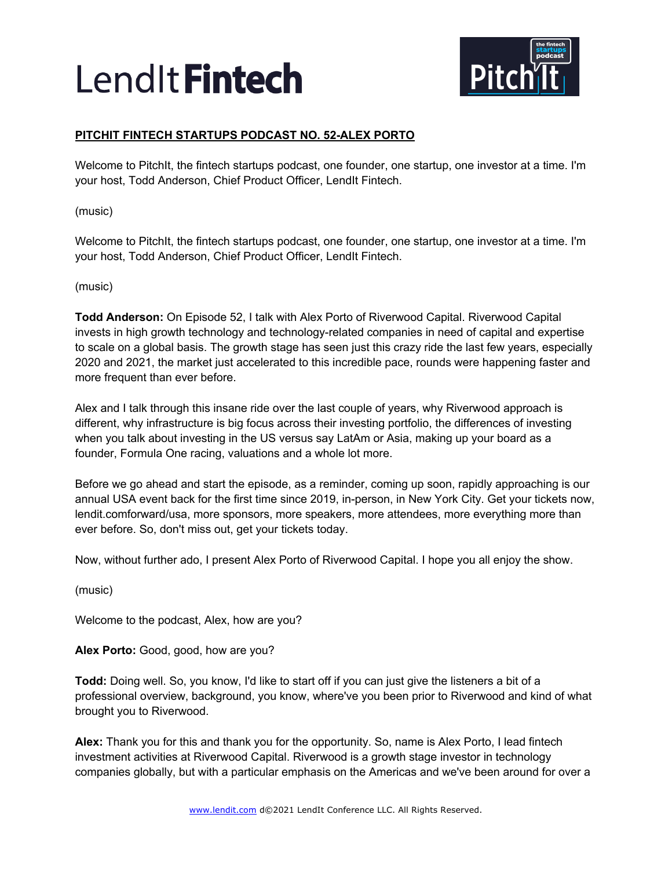

# **PITCHIT FINTECH STARTUPS PODCAST NO. 52-ALEX PORTO**

Welcome to PitchIt, the fintech startups podcast, one founder, one startup, one investor at a time. I'm your host, Todd Anderson, Chief Product Officer, LendIt Fintech.

(music)

Welcome to PitchIt, the fintech startups podcast, one founder, one startup, one investor at a time. I'm your host, Todd Anderson, Chief Product Officer, LendIt Fintech.

(music)

**Todd Anderson:** On Episode 52, I talk with Alex Porto of Riverwood Capital. Riverwood Capital invests in high growth technology and technology-related companies in need of capital and expertise to scale on a global basis. The growth stage has seen just this crazy ride the last few years, especially 2020 and 2021, the market just accelerated to this incredible pace, rounds were happening faster and more frequent than ever before.

Alex and I talk through this insane ride over the last couple of years, why Riverwood approach is different, why infrastructure is big focus across their investing portfolio, the differences of investing when you talk about investing in the US versus say LatAm or Asia, making up your board as a founder, Formula One racing, valuations and a whole lot more.

Before we go ahead and start the episode, as a reminder, coming up soon, rapidly approaching is our annual USA event back for the first time since 2019, in-person, in New York City. Get your tickets now, lendit.comforward/usa, more sponsors, more speakers, more attendees, more everything more than ever before. So, don't miss out, get your tickets today.

Now, without further ado, I present Alex Porto of Riverwood Capital. I hope you all enjoy the show.

(music)

Welcome to the podcast, Alex, how are you?

**Alex Porto:** Good, good, how are you?

**Todd:** Doing well. So, you know, I'd like to start off if you can just give the listeners a bit of a professional overview, background, you know, where've you been prior to Riverwood and kind of what brought you to Riverwood.

**Alex:** Thank you for this and thank you for the opportunity. So, name is Alex Porto, I lead fintech investment activities at Riverwood Capital. Riverwood is a growth stage investor in technology companies globally, but with a particular emphasis on the Americas and we've been around for over a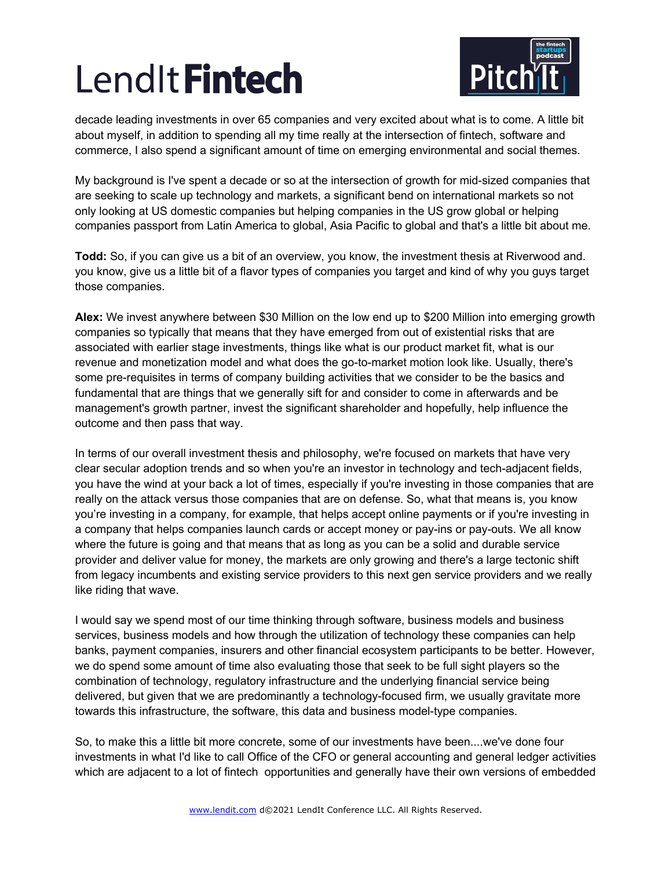

decade leading investments in over 65 companies and very excited about what is to come. A little bit about myself, in addition to spending all my time really at the intersection of fintech, software and commerce, I also spend a significant amount of time on emerging environmental and social themes.

My background is I've spent a decade or so at the intersection of growth for mid-sized companies that are seeking to scale up technology and markets, a significant bend on international markets so not only looking at US domestic companies but helping companies in the US grow global or helping companies passport from Latin America to global, Asia Pacific to global and that's a little bit about me.

**Todd:** So, if you can give us a bit of an overview, you know, the investment thesis at Riverwood and. you know, give us a little bit of a flavor types of companies you target and kind of why you guys target those companies.

**Alex:** We invest anywhere between \$30 Million on the low end up to \$200 Million into emerging growth companies so typically that means that they have emerged from out of existential risks that are associated with earlier stage investments, things like what is our product market fit, what is our revenue and monetization model and what does the go-to-market motion look like. Usually, there's some pre-requisites in terms of company building activities that we consider to be the basics and fundamental that are things that we generally sift for and consider to come in afterwards and be management's growth partner, invest the significant shareholder and hopefully, help influence the outcome and then pass that way.

In terms of our overall investment thesis and philosophy, we're focused on markets that have very clear secular adoption trends and so when you're an investor in technology and tech-adjacent fields, you have the wind at your back a lot of times, especially if you're investing in those companies that are really on the attack versus those companies that are on defense. So, what that means is, you know you're investing in a company, for example, that helps accept online payments or if you're investing in a company that helps companies launch cards or accept money or pay-ins or pay-outs. We all know where the future is going and that means that as long as you can be a solid and durable service provider and deliver value for money, the markets are only growing and there's a large tectonic shift from legacy incumbents and existing service providers to this next gen service providers and we really like riding that wave.

I would say we spend most of our time thinking through software, business models and business services, business models and how through the utilization of technology these companies can help banks, payment companies, insurers and other financial ecosystem participants to be better. However, we do spend some amount of time also evaluating those that seek to be full sight players so the combination of technology, regulatory infrastructure and the underlying financial service being delivered, but given that we are predominantly a technology-focused firm, we usually gravitate more towards this infrastructure, the software, this data and business model-type companies.

So, to make this a little bit more concrete, some of our investments have been....we've done four investments in what I'd like to call Office of the CFO or general accounting and general ledger activities which are adjacent to a lot of fintech opportunities and generally have their own versions of embedded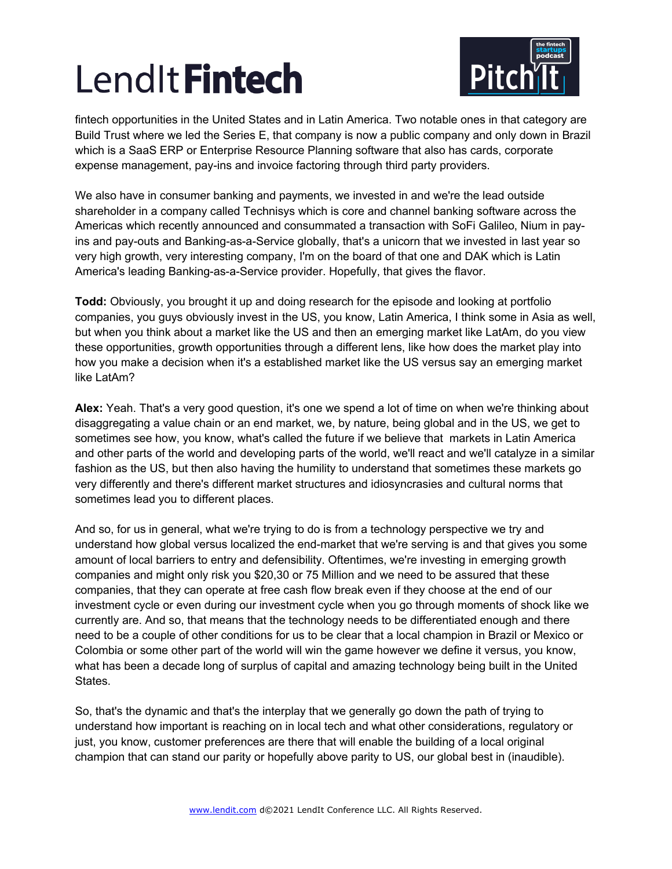

fintech opportunities in the United States and in Latin America. Two notable ones in that category are Build Trust where we led the Series E, that company is now a public company and only down in Brazil which is a SaaS ERP or Enterprise Resource Planning software that also has cards, corporate expense management, pay-ins and invoice factoring through third party providers.

We also have in consumer banking and payments, we invested in and we're the lead outside shareholder in a company called Technisys which is core and channel banking software across the Americas which recently announced and consummated a transaction with SoFi Galileo, Nium in payins and pay-outs and Banking-as-a-Service globally, that's a unicorn that we invested in last year so very high growth, very interesting company, I'm on the board of that one and DAK which is Latin America's leading Banking-as-a-Service provider. Hopefully, that gives the flavor.

**Todd:** Obviously, you brought it up and doing research for the episode and looking at portfolio companies, you guys obviously invest in the US, you know, Latin America, I think some in Asia as well, but when you think about a market like the US and then an emerging market like LatAm, do you view these opportunities, growth opportunities through a different lens, like how does the market play into how you make a decision when it's a established market like the US versus say an emerging market like LatAm?

**Alex:** Yeah. That's a very good question, it's one we spend a lot of time on when we're thinking about disaggregating a value chain or an end market, we, by nature, being global and in the US, we get to sometimes see how, you know, what's called the future if we believe that markets in Latin America and other parts of the world and developing parts of the world, we'll react and we'll catalyze in a similar fashion as the US, but then also having the humility to understand that sometimes these markets go very differently and there's different market structures and idiosyncrasies and cultural norms that sometimes lead you to different places.

And so, for us in general, what we're trying to do is from a technology perspective we try and understand how global versus localized the end-market that we're serving is and that gives you some amount of local barriers to entry and defensibility. Oftentimes, we're investing in emerging growth companies and might only risk you \$20,30 or 75 Million and we need to be assured that these companies, that they can operate at free cash flow break even if they choose at the end of our investment cycle or even during our investment cycle when you go through moments of shock like we currently are. And so, that means that the technology needs to be differentiated enough and there need to be a couple of other conditions for us to be clear that a local champion in Brazil or Mexico or Colombia or some other part of the world will win the game however we define it versus, you know, what has been a decade long of surplus of capital and amazing technology being built in the United States.

So, that's the dynamic and that's the interplay that we generally go down the path of trying to understand how important is reaching on in local tech and what other considerations, regulatory or just, you know, customer preferences are there that will enable the building of a local original champion that can stand our parity or hopefully above parity to US, our global best in (inaudible).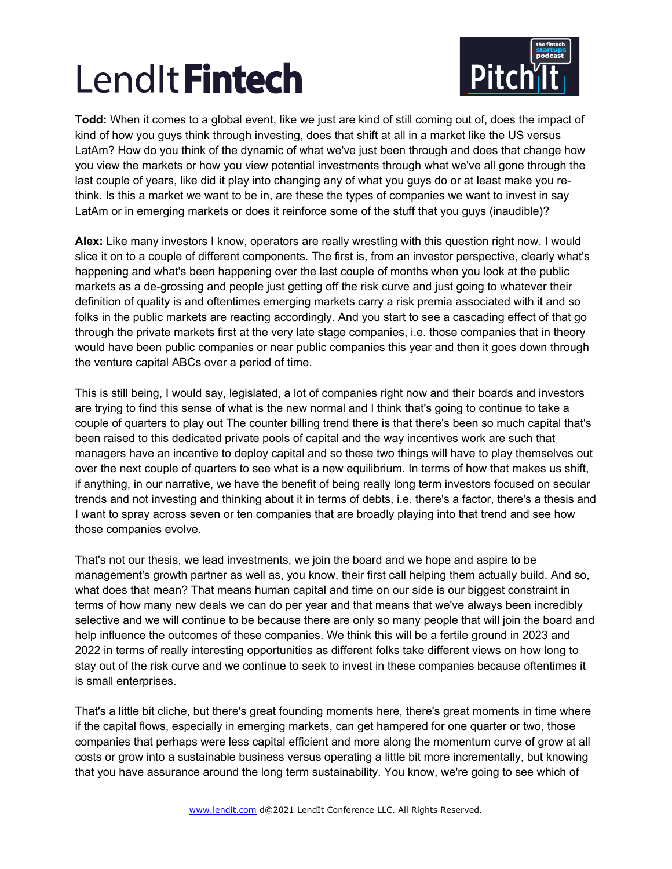

**Todd:** When it comes to a global event, like we just are kind of still coming out of, does the impact of kind of how you guys think through investing, does that shift at all in a market like the US versus LatAm? How do you think of the dynamic of what we've just been through and does that change how you view the markets or how you view potential investments through what we've all gone through the last couple of years, like did it play into changing any of what you guys do or at least make you rethink. Is this a market we want to be in, are these the types of companies we want to invest in say LatAm or in emerging markets or does it reinforce some of the stuff that you guys (inaudible)?

**Alex:** Like many investors I know, operators are really wrestling with this question right now. I would slice it on to a couple of different components. The first is, from an investor perspective, clearly what's happening and what's been happening over the last couple of months when you look at the public markets as a de-grossing and people just getting off the risk curve and just going to whatever their definition of quality is and oftentimes emerging markets carry a risk premia associated with it and so folks in the public markets are reacting accordingly. And you start to see a cascading effect of that go through the private markets first at the very late stage companies, i.e. those companies that in theory would have been public companies or near public companies this year and then it goes down through the venture capital ABCs over a period of time.

This is still being, I would say, legislated, a lot of companies right now and their boards and investors are trying to find this sense of what is the new normal and I think that's going to continue to take a couple of quarters to play out The counter billing trend there is that there's been so much capital that's been raised to this dedicated private pools of capital and the way incentives work are such that managers have an incentive to deploy capital and so these two things will have to play themselves out over the next couple of quarters to see what is a new equilibrium. In terms of how that makes us shift, if anything, in our narrative, we have the benefit of being really long term investors focused on secular trends and not investing and thinking about it in terms of debts, i.e. there's a factor, there's a thesis and I want to spray across seven or ten companies that are broadly playing into that trend and see how those companies evolve.

That's not our thesis, we lead investments, we join the board and we hope and aspire to be management's growth partner as well as, you know, their first call helping them actually build. And so, what does that mean? That means human capital and time on our side is our biggest constraint in terms of how many new deals we can do per year and that means that we've always been incredibly selective and we will continue to be because there are only so many people that will join the board and help influence the outcomes of these companies. We think this will be a fertile ground in 2023 and 2022 in terms of really interesting opportunities as different folks take different views on how long to stay out of the risk curve and we continue to seek to invest in these companies because oftentimes it is small enterprises.

That's a little bit cliche, but there's great founding moments here, there's great moments in time where if the capital flows, especially in emerging markets, can get hampered for one quarter or two, those companies that perhaps were less capital efficient and more along the momentum curve of grow at all costs or grow into a sustainable business versus operating a little bit more incrementally, but knowing that you have assurance around the long term sustainability. You know, we're going to see which of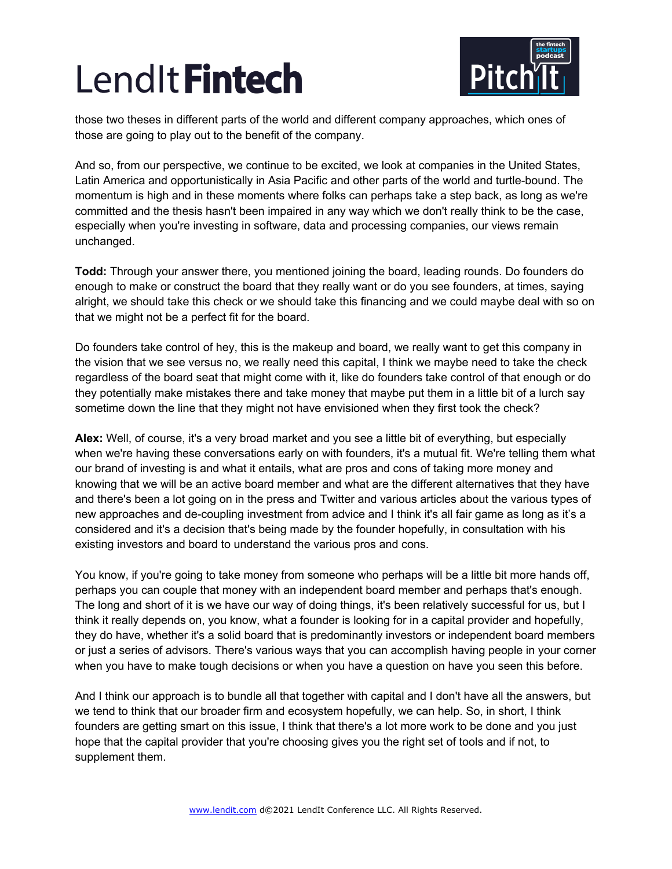

those two theses in different parts of the world and different company approaches, which ones of those are going to play out to the benefit of the company.

And so, from our perspective, we continue to be excited, we look at companies in the United States, Latin America and opportunistically in Asia Pacific and other parts of the world and turtle-bound. The momentum is high and in these moments where folks can perhaps take a step back, as long as we're committed and the thesis hasn't been impaired in any way which we don't really think to be the case, especially when you're investing in software, data and processing companies, our views remain unchanged.

**Todd:** Through your answer there, you mentioned joining the board, leading rounds. Do founders do enough to make or construct the board that they really want or do you see founders, at times, saying alright, we should take this check or we should take this financing and we could maybe deal with so on that we might not be a perfect fit for the board.

Do founders take control of hey, this is the makeup and board, we really want to get this company in the vision that we see versus no, we really need this capital, I think we maybe need to take the check regardless of the board seat that might come with it, like do founders take control of that enough or do they potentially make mistakes there and take money that maybe put them in a little bit of a lurch say sometime down the line that they might not have envisioned when they first took the check?

**Alex:** Well, of course, it's a very broad market and you see a little bit of everything, but especially when we're having these conversations early on with founders, it's a mutual fit. We're telling them what our brand of investing is and what it entails, what are pros and cons of taking more money and knowing that we will be an active board member and what are the different alternatives that they have and there's been a lot going on in the press and Twitter and various articles about the various types of new approaches and de-coupling investment from advice and I think it's all fair game as long as it's a considered and it's a decision that's being made by the founder hopefully, in consultation with his existing investors and board to understand the various pros and cons.

You know, if you're going to take money from someone who perhaps will be a little bit more hands off, perhaps you can couple that money with an independent board member and perhaps that's enough. The long and short of it is we have our way of doing things, it's been relatively successful for us, but I think it really depends on, you know, what a founder is looking for in a capital provider and hopefully, they do have, whether it's a solid board that is predominantly investors or independent board members or just a series of advisors. There's various ways that you can accomplish having people in your corner when you have to make tough decisions or when you have a question on have you seen this before.

And I think our approach is to bundle all that together with capital and I don't have all the answers, but we tend to think that our broader firm and ecosystem hopefully, we can help. So, in short, I think founders are getting smart on this issue, I think that there's a lot more work to be done and you just hope that the capital provider that you're choosing gives you the right set of tools and if not, to supplement them.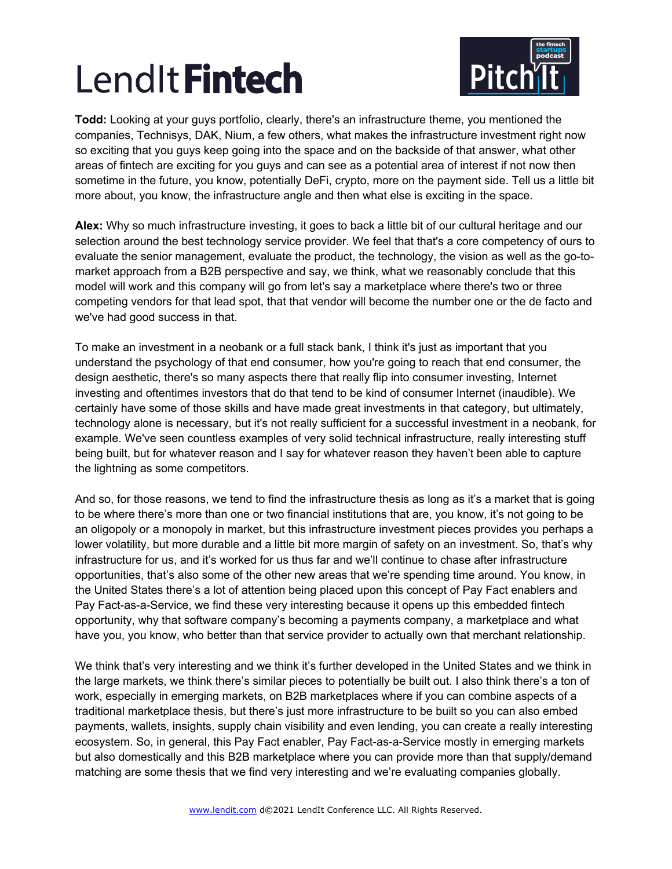

**Todd:** Looking at your guys portfolio, clearly, there's an infrastructure theme, you mentioned the companies, Technisys, DAK, Nium, a few others, what makes the infrastructure investment right now so exciting that you guys keep going into the space and on the backside of that answer, what other areas of fintech are exciting for you guys and can see as a potential area of interest if not now then sometime in the future, you know, potentially DeFi, crypto, more on the payment side. Tell us a little bit more about, you know, the infrastructure angle and then what else is exciting in the space.

**Alex:** Why so much infrastructure investing, it goes to back a little bit of our cultural heritage and our selection around the best technology service provider. We feel that that's a core competency of ours to evaluate the senior management, evaluate the product, the technology, the vision as well as the go-tomarket approach from a B2B perspective and say, we think, what we reasonably conclude that this model will work and this company will go from let's say a marketplace where there's two or three competing vendors for that lead spot, that that vendor will become the number one or the de facto and we've had good success in that.

To make an investment in a neobank or a full stack bank, I think it's just as important that you understand the psychology of that end consumer, how you're going to reach that end consumer, the design aesthetic, there's so many aspects there that really flip into consumer investing, Internet investing and oftentimes investors that do that tend to be kind of consumer Internet (inaudible). We certainly have some of those skills and have made great investments in that category, but ultimately, technology alone is necessary, but it's not really sufficient for a successful investment in a neobank, for example. We've seen countless examples of very solid technical infrastructure, really interesting stuff being built, but for whatever reason and I say for whatever reason they haven't been able to capture the lightning as some competitors.

And so, for those reasons, we tend to find the infrastructure thesis as long as it's a market that is going to be where there's more than one or two financial institutions that are, you know, it's not going to be an oligopoly or a monopoly in market, but this infrastructure investment pieces provides you perhaps a lower volatility, but more durable and a little bit more margin of safety on an investment. So, that's why infrastructure for us, and it's worked for us thus far and we'll continue to chase after infrastructure opportunities, that's also some of the other new areas that we're spending time around. You know, in the United States there's a lot of attention being placed upon this concept of Pay Fact enablers and Pay Fact-as-a-Service, we find these very interesting because it opens up this embedded fintech opportunity, why that software company's becoming a payments company, a marketplace and what have you, you know, who better than that service provider to actually own that merchant relationship.

We think that's very interesting and we think it's further developed in the United States and we think in the large markets, we think there's similar pieces to potentially be built out. I also think there's a ton of work, especially in emerging markets, on B2B marketplaces where if you can combine aspects of a traditional marketplace thesis, but there's just more infrastructure to be built so you can also embed payments, wallets, insights, supply chain visibility and even lending, you can create a really interesting ecosystem. So, in general, this Pay Fact enabler, Pay Fact-as-a-Service mostly in emerging markets but also domestically and this B2B marketplace where you can provide more than that supply/demand matching are some thesis that we find very interesting and we're evaluating companies globally.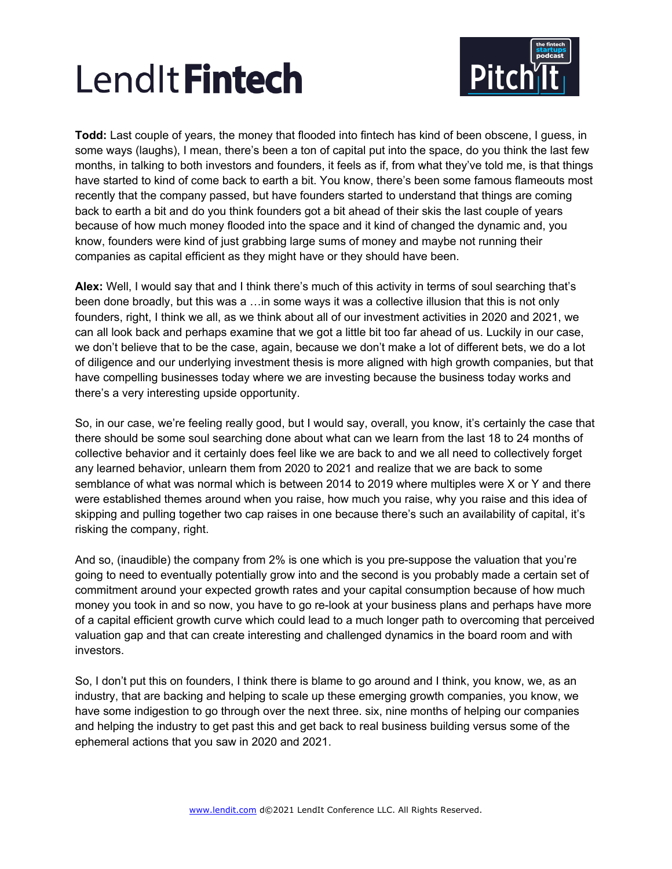

**Todd:** Last couple of years, the money that flooded into fintech has kind of been obscene, I guess, in some ways (laughs), I mean, there's been a ton of capital put into the space, do you think the last few months, in talking to both investors and founders, it feels as if, from what they've told me, is that things have started to kind of come back to earth a bit. You know, there's been some famous flameouts most recently that the company passed, but have founders started to understand that things are coming back to earth a bit and do you think founders got a bit ahead of their skis the last couple of years because of how much money flooded into the space and it kind of changed the dynamic and, you know, founders were kind of just grabbing large sums of money and maybe not running their companies as capital efficient as they might have or they should have been.

**Alex:** Well, I would say that and I think there's much of this activity in terms of soul searching that's been done broadly, but this was a …in some ways it was a collective illusion that this is not only founders, right, I think we all, as we think about all of our investment activities in 2020 and 2021, we can all look back and perhaps examine that we got a little bit too far ahead of us. Luckily in our case, we don't believe that to be the case, again, because we don't make a lot of different bets, we do a lot of diligence and our underlying investment thesis is more aligned with high growth companies, but that have compelling businesses today where we are investing because the business today works and there's a very interesting upside opportunity.

So, in our case, we're feeling really good, but I would say, overall, you know, it's certainly the case that there should be some soul searching done about what can we learn from the last 18 to 24 months of collective behavior and it certainly does feel like we are back to and we all need to collectively forget any learned behavior, unlearn them from 2020 to 2021 and realize that we are back to some semblance of what was normal which is between 2014 to 2019 where multiples were X or Y and there were established themes around when you raise, how much you raise, why you raise and this idea of skipping and pulling together two cap raises in one because there's such an availability of capital, it's risking the company, right.

And so, (inaudible) the company from 2% is one which is you pre-suppose the valuation that you're going to need to eventually potentially grow into and the second is you probably made a certain set of commitment around your expected growth rates and your capital consumption because of how much money you took in and so now, you have to go re-look at your business plans and perhaps have more of a capital efficient growth curve which could lead to a much longer path to overcoming that perceived valuation gap and that can create interesting and challenged dynamics in the board room and with investors.

So, I don't put this on founders, I think there is blame to go around and I think, you know, we, as an industry, that are backing and helping to scale up these emerging growth companies, you know, we have some indigestion to go through over the next three. six, nine months of helping our companies and helping the industry to get past this and get back to real business building versus some of the ephemeral actions that you saw in 2020 and 2021.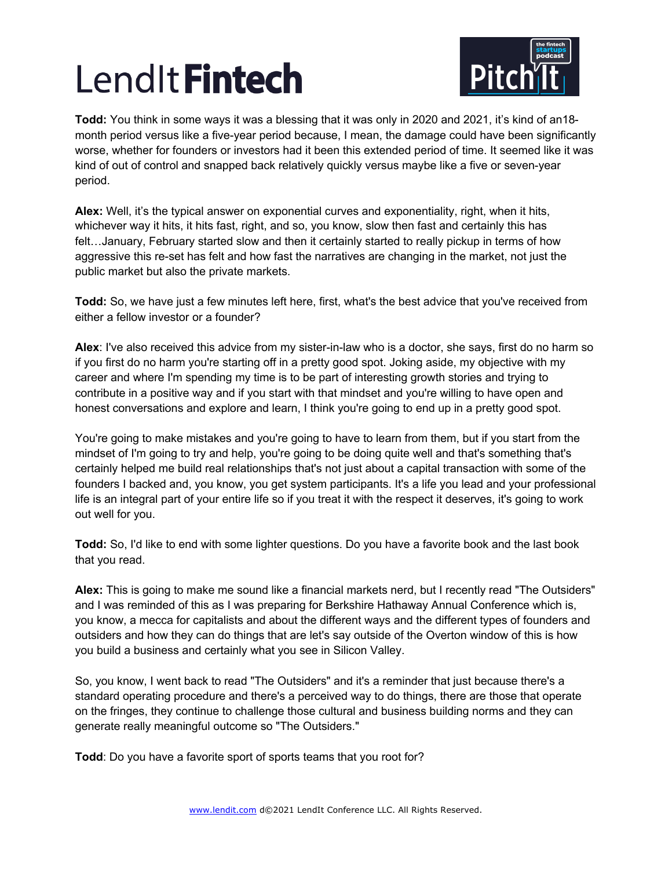

**Todd:** You think in some ways it was a blessing that it was only in 2020 and 2021, it's kind of an18 month period versus like a five-year period because, I mean, the damage could have been significantly worse, whether for founders or investors had it been this extended period of time. It seemed like it was kind of out of control and snapped back relatively quickly versus maybe like a five or seven-year period.

**Alex:** Well, it's the typical answer on exponential curves and exponentiality, right, when it hits, whichever way it hits, it hits fast, right, and so, you know, slow then fast and certainly this has felt…January, February started slow and then it certainly started to really pickup in terms of how aggressive this re-set has felt and how fast the narratives are changing in the market, not just the public market but also the private markets.

**Todd:** So, we have just a few minutes left here, first, what's the best advice that you've received from either a fellow investor or a founder?

**Alex**: I've also received this advice from my sister-in-law who is a doctor, she says, first do no harm so if you first do no harm you're starting off in a pretty good spot. Joking aside, my objective with my career and where I'm spending my time is to be part of interesting growth stories and trying to contribute in a positive way and if you start with that mindset and you're willing to have open and honest conversations and explore and learn, I think you're going to end up in a pretty good spot.

You're going to make mistakes and you're going to have to learn from them, but if you start from the mindset of I'm going to try and help, you're going to be doing quite well and that's something that's certainly helped me build real relationships that's not just about a capital transaction with some of the founders I backed and, you know, you get system participants. It's a life you lead and your professional life is an integral part of your entire life so if you treat it with the respect it deserves, it's going to work out well for you.

**Todd:** So, I'd like to end with some lighter questions. Do you have a favorite book and the last book that you read.

**Alex:** This is going to make me sound like a financial markets nerd, but I recently read "The Outsiders" and I was reminded of this as I was preparing for Berkshire Hathaway Annual Conference which is, you know, a mecca for capitalists and about the different ways and the different types of founders and outsiders and how they can do things that are let's say outside of the Overton window of this is how you build a business and certainly what you see in Silicon Valley.

So, you know, I went back to read "The Outsiders" and it's a reminder that just because there's a standard operating procedure and there's a perceived way to do things, there are those that operate on the fringes, they continue to challenge those cultural and business building norms and they can generate really meaningful outcome so "The Outsiders."

**Todd**: Do you have a favorite sport of sports teams that you root for?